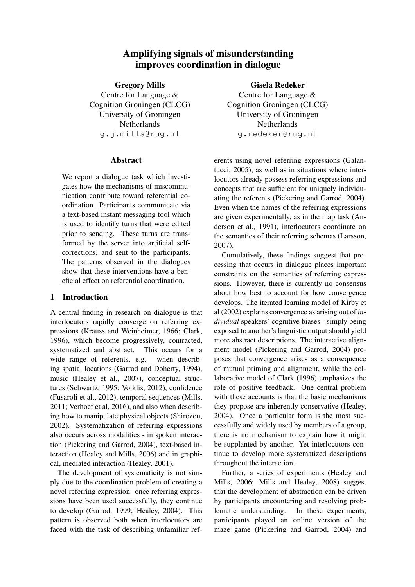# Amplifying signals of misunderstanding improves coordination in dialogue

Gregory Mills Centre for Language & Cognition Groningen (CLCG) University of Groningen Netherlands g.j.mills@rug.nl

### Abstract

We report a dialogue task which investigates how the mechanisms of miscommunication contribute toward referential coordination. Participants communicate via a text-based instant messaging tool which is used to identify turns that were edited prior to sending. These turns are transformed by the server into artificial selfcorrections, and sent to the participants. The patterns observed in the dialogues show that these interventions have a beneficial effect on referential coordination.

## 1 Introduction

A central finding in research on dialogue is that interlocutors rapidly converge on referring expressions (Krauss and Weinheimer, 1966; Clark, 1996), which become progressively, contracted, systematized and abstract. This occurs for a wide range of referents, e.g. when describing spatial locations (Garrod and Doherty, 1994), music (Healey et al., 2007), conceptual structures (Schwartz, 1995; Voiklis, 2012), confidence (Fusaroli et al., 2012), temporal sequences (Mills, 2011; Verhoef et al, 2016), and also when describing how to manipulate physical objects (Shirozou, 2002). Systematization of referring expressions also occurs across modalities - in spoken interaction (Pickering and Garrod, 2004), text-based interaction (Healey and Mills, 2006) and in graphical, mediated interaction (Healey, 2001).

The development of systematicity is not simply due to the coordination problem of creating a novel referring expression: once referring expressions have been used successfully, they continue to develop (Garrod, 1999; Healey, 2004). This pattern is observed both when interlocutors are faced with the task of describing unfamiliar refGisela Redeker

Centre for Language & Cognition Groningen (CLCG) University of Groningen Netherlands g.redeker@rug.nl

erents using novel referring expressions (Galantucci, 2005), as well as in situations where interlocutors already possess referring expressions and concepts that are sufficient for uniquely individuating the referents (Pickering and Garrod, 2004). Even when the names of the referring expressions are given experimentally, as in the map task (Anderson et al., 1991), interlocutors coordinate on the semantics of their referring schemas (Larsson, 2007).

Cumulatively, these findings suggest that processing that occurs in dialogue places important constraints on the semantics of referring expressions. However, there is currently no consensus about how best to account for how convergence develops. The iterated learning model of Kirby et al (2002) explains convergence as arising out of *individual* speakers' cognitive biases - simply being exposed to another's linguistic output should yield more abstract descriptions. The interactive alignment model (Pickering and Garrod, 2004) proposes that convergence arises as a consequence of mutual priming and alignment, while the collaborative model of Clark (1996) emphasizes the role of positive feedback. One central problem with these accounts is that the basic mechanisms they propose are inherently conservative (Healey, 2004). Once a particular form is the most successfully and widely used by members of a group, there is no mechanism to explain how it might be supplanted by another. Yet interlocutors continue to develop more systematized descriptions throughout the interaction.

Further, a series of experiments (Healey and Mills, 2006; Mills and Healey, 2008) suggest that the development of abstraction can be driven by participants encountering and resolving problematic understanding. In these experiments, participants played an online version of the maze game (Pickering and Garrod, 2004) and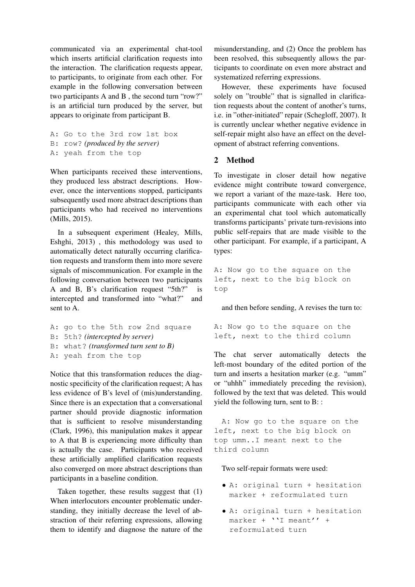communicated via an experimental chat-tool which inserts artificial clarification requests into the interaction. The clarification requests appear, to participants, to originate from each other. For example in the following conversation between two participants A and B , the second turn "row?" is an artificial turn produced by the server, but appears to originate from participant B.

```
A: Go to the 3rd row 1st box
B: row? (produced by the server)
A: yeah from the top
```
When participants received these interventions, they produced less abstract descriptions. However, once the interventions stopped, participants subsequently used more abstract descriptions than participants who had received no interventions (Mills, 2015).

In a subsequent experiment (Healey, Mills, Eshghi, 2013) , this methodology was used to automatically detect naturally occurring clarification requests and transform them into more severe signals of miscommunication. For example in the following conversation between two participants A and B, B's clarification request "5th?" is intercepted and transformed into "what?" and sent to A.

```
A: go to the 5th row 2nd square
B: 5th? (intercepted by server)
B: what? (transformed turn sent to B)
A: yeah from the top
```
Notice that this transformation reduces the diagnostic specificity of the clarification request; A has less evidence of B's level of (mis)understanding. Since there is an expectation that a conversational partner should provide diagnostic information that is sufficient to resolve misunderstanding (Clark, 1996), this manipulation makes it appear to A that B is experiencing more difficulty than is actually the case. Participants who received these artificially amplified clarification requests also converged on more abstract descriptions than participants in a baseline condition.

Taken together, these results suggest that (1) When interlocutors encounter problematic understanding, they initially decrease the level of abstraction of their referring expressions, allowing them to identify and diagnose the nature of the

misunderstanding, and (2) Once the problem has been resolved, this subsequently allows the participants to coordinate on even more abstract and systematized referring expressions.

However, these experiments have focused solely on "trouble" that is signalled in clarification requests about the content of another's turns, i.e. in "other-initiated" repair (Schegloff, 2007). It is currently unclear whether negative evidence in self-repair might also have an effect on the development of abstract referring conventions.

# 2 Method

To investigate in closer detail how negative evidence might contribute toward convergence, we report a variant of the maze-task. Here too, participants communicate with each other via an experimental chat tool which automatically transforms participants' private turn-revisions into public self-repairs that are made visible to the other participant. For example, if a participant, A types:

A: Now go to the square on the left, next to the big block on top

and then before sending, A revises the turn to:

A: Now go to the square on the left, next to the third column

The chat server automatically detects the left-most boundary of the edited portion of the turn and inserts a hesitation marker (e.g. "umm" or "uhhh" immediately preceding the revision), followed by the text that was deleted. This would yield the following turn, sent to B: :

A: Now go to the square on the left, next to the big block on top umm..I meant next to the third column

Two self-repair formats were used:

- A: original turn + hesitation marker + reformulated turn
- A: original turn + hesitation marker + ''I meant'' + reformulated turn